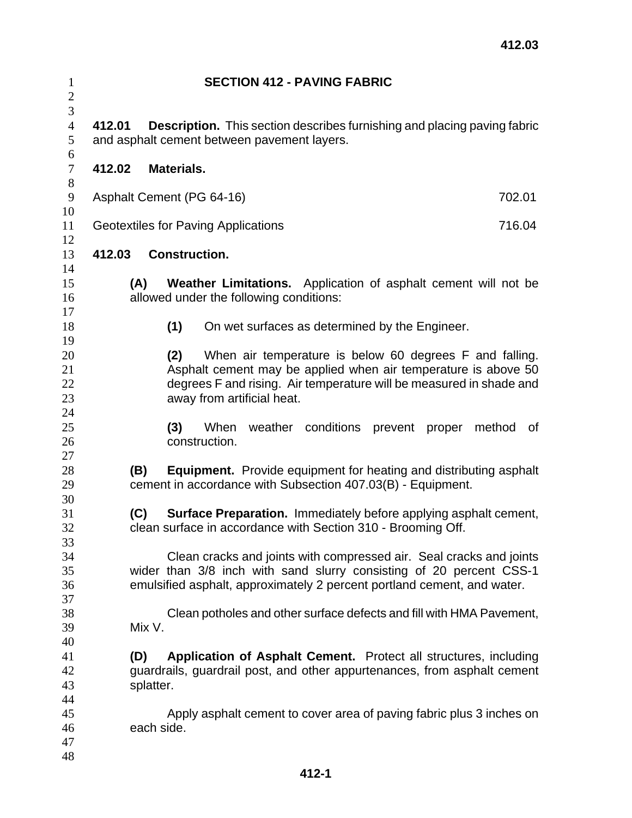| $\mathbf{1}$<br>$\overline{c}$ | <b>SECTION 412 - PAVING FABRIC</b>                                                                                                                                                                                    |                                                                                                                                                                  |     |                       |                                         |                                                                                                                                                                                                  |         |        |        |    |  |  |
|--------------------------------|-----------------------------------------------------------------------------------------------------------------------------------------------------------------------------------------------------------------------|------------------------------------------------------------------------------------------------------------------------------------------------------------------|-----|-----------------------|-----------------------------------------|--------------------------------------------------------------------------------------------------------------------------------------------------------------------------------------------------|---------|--------|--------|----|--|--|
| 3<br>$\overline{4}$<br>5<br>6  | 412.01<br><b>Description.</b> This section describes furnishing and placing paving fabric<br>and asphalt cement between pavement layers.                                                                              |                                                                                                                                                                  |     |                       |                                         |                                                                                                                                                                                                  |         |        |        |    |  |  |
| $\boldsymbol{7}$               | 412.02<br>Materials.                                                                                                                                                                                                  |                                                                                                                                                                  |     |                       |                                         |                                                                                                                                                                                                  |         |        |        |    |  |  |
| 8<br>9                         | Asphalt Cement (PG 64-16)<br>702.01                                                                                                                                                                                   |                                                                                                                                                                  |     |                       |                                         |                                                                                                                                                                                                  |         |        |        |    |  |  |
| 10<br>11                       | Geotextiles for Paving Applications<br>716.04                                                                                                                                                                         |                                                                                                                                                                  |     |                       |                                         |                                                                                                                                                                                                  |         |        |        |    |  |  |
| 12<br>13                       | <b>Construction.</b><br>412.03                                                                                                                                                                                        |                                                                                                                                                                  |     |                       |                                         |                                                                                                                                                                                                  |         |        |        |    |  |  |
| 14<br>15<br>16<br>17           |                                                                                                                                                                                                                       | (A)                                                                                                                                                              |     |                       | allowed under the following conditions: | Weather Limitations. Application of asphalt cement will not be                                                                                                                                   |         |        |        |    |  |  |
| 18<br>19                       |                                                                                                                                                                                                                       |                                                                                                                                                                  | (1) |                       |                                         | On wet surfaces as determined by the Engineer.                                                                                                                                                   |         |        |        |    |  |  |
| 20<br>21<br>22<br>23<br>24     |                                                                                                                                                                                                                       |                                                                                                                                                                  | (2) |                       | away from artificial heat.              | When air temperature is below 60 degrees F and falling.<br>Asphalt cement may be applied when air temperature is above 50<br>degrees F and rising. Air temperature will be measured in shade and |         |        |        |    |  |  |
| 25<br>26<br>27                 |                                                                                                                                                                                                                       |                                                                                                                                                                  | (3) | When<br>construction. |                                         | weather conditions                                                                                                                                                                               | prevent | proper | method | 0f |  |  |
| 28<br>29<br>30                 |                                                                                                                                                                                                                       | <b>Equipment.</b> Provide equipment for heating and distributing asphalt<br>(B)<br>cement in accordance with Subsection 407.03(B) - Equipment.                   |     |                       |                                         |                                                                                                                                                                                                  |         |        |        |    |  |  |
| 31<br>32<br>33                 |                                                                                                                                                                                                                       | <b>Surface Preparation.</b> Immediately before applying asphalt cement,<br>(C)<br>clean surface in accordance with Section 310 - Brooming Off.                   |     |                       |                                         |                                                                                                                                                                                                  |         |        |        |    |  |  |
| 34<br>35<br>36<br>37           | Clean cracks and joints with compressed air. Seal cracks and joints<br>wider than 3/8 inch with sand slurry consisting of 20 percent CSS-1<br>emulsified asphalt, approximately 2 percent portland cement, and water. |                                                                                                                                                                  |     |                       |                                         |                                                                                                                                                                                                  |         |        |        |    |  |  |
| 38<br>39<br>40                 |                                                                                                                                                                                                                       | Clean potholes and other surface defects and fill with HMA Pavement,<br>Mix V.                                                                                   |     |                       |                                         |                                                                                                                                                                                                  |         |        |        |    |  |  |
| 41<br>42<br>43<br>44           |                                                                                                                                                                                                                       | Application of Asphalt Cement. Protect all structures, including<br>(D)<br>guardrails, guardrail post, and other appurtenances, from asphalt cement<br>splatter. |     |                       |                                         |                                                                                                                                                                                                  |         |        |        |    |  |  |
| 45<br>46<br>47<br>48           |                                                                                                                                                                                                                       | each side.                                                                                                                                                       |     |                       |                                         | Apply asphalt cement to cover area of paving fabric plus 3 inches on                                                                                                                             |         |        |        |    |  |  |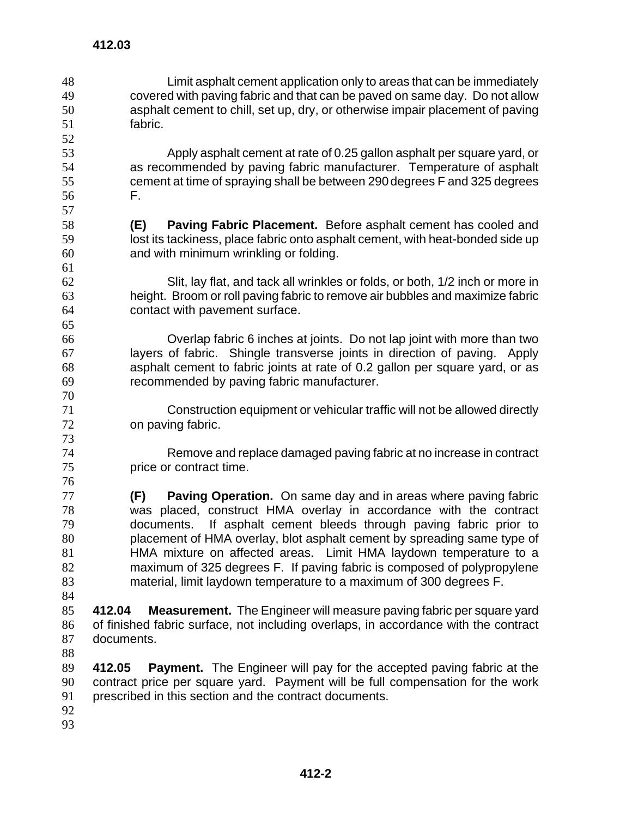**412.03** 

Limit asphalt cement application only to areas that can be immediately covered with paving fabric and that can be paved on same day. Do not allow asphalt cement to chill, set up, dry, or otherwise impair placement of paving fabric. 

Apply asphalt cement at rate of 0.25 gallon asphalt per square yard, or as recommended by paving fabric manufacturer. Temperature of asphalt cement at time of spraying shall be between 290 degrees F and 325 degrees F.

- **(E) Paving Fabric Placement.** Before asphalt cement has cooled and lost its tackiness, place fabric onto asphalt cement, with heat-bonded side up and with minimum wrinkling or folding.
- Slit, lay flat, and tack all wrinkles or folds, or both, 1/2 inch or more in height. Broom or roll paving fabric to remove air bubbles and maximize fabric contact with pavement surface.

Overlap fabric 6 inches at joints. Do not lap joint with more than two layers of fabric. Shingle transverse joints in direction of paving. Apply asphalt cement to fabric joints at rate of 0.2 gallon per square yard, or as recommended by paving fabric manufacturer.

- Construction equipment or vehicular traffic will not be allowed directly on paving fabric.
- Remove and replace damaged paving fabric at no increase in contract price or contract time.
- **(F) Paving Operation.** On same day and in areas where paving fabric was placed, construct HMA overlay in accordance with the contract documents. If asphalt cement bleeds through paving fabric prior to placement of HMA overlay, blot asphalt cement by spreading same type of HMA mixture on affected areas. Limit HMA laydown temperature to a maximum of 325 degrees F. If paving fabric is composed of polypropylene material, limit laydown temperature to a maximum of 300 degrees F.
- 

**412.04 Measurement.** The Engineer will measure paving fabric per square yard of finished fabric surface, not including overlaps, in accordance with the contract documents.

**412.05 Payment.** The Engineer will pay for the accepted paving fabric at the contract price per square yard. Payment will be full compensation for the work prescribed in this section and the contract documents.

- 
-